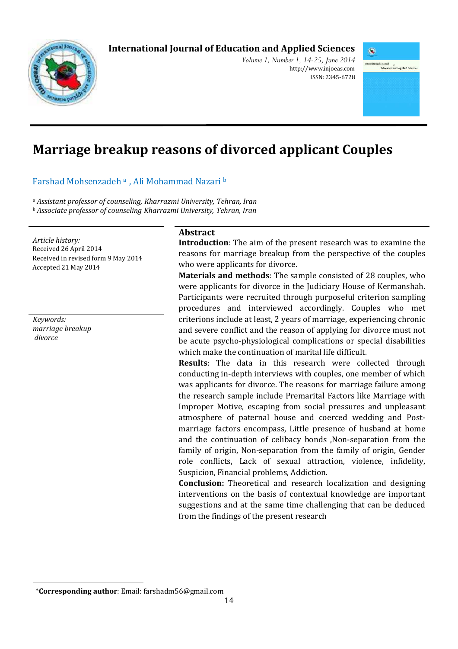# **International Journal of Education and Applied Sciences**



*Volume 1, Number 1, 14-25, June 2014*  http://www.injoeas.com ISSN: 2345-6728



# **Marriage breakup reasons of divorced applicant Couples**

Farshad Mohsenzadeh <sup>a</sup>, Ali Mohammad Nazari b

*<sup>a</sup> Assistant professor of counseling, Kharrazmi University, Tehran, Iran <sup>b</sup> Associate professor of counseling Kharrazmi University, Tehran, Iran* 

*Article history:*  Received 26 April 2014 Received in revised form 9 May 2014 Accepted 21 May 2014

*Keywords: marriage breakup divorce* 

l

#### **Abstract**

**Introduction**: The aim of the present research was to examine the reasons for marriage breakup from the perspective of the couples who were applicants for divorce.

**Materials and methods**: The sample consisted of 28 couples, who were applicants for divorce in the Judiciary House of Kermanshah. Participants were recruited through purposeful criterion sampling procedures and interviewed accordingly. Couples who met criterions include at least, 2 years of marriage, experiencing chronic and severe conflict and the reason of applying for divorce must not be acute psycho-physiological complications or special disabilities which make the continuation of marital life difficult.

**Results**: The data in this research were collected through conducting in-depth interviews with couples, one member of which was applicants for divorce. The reasons for marriage failure among the research sample include Premarital Factors like Marriage with Improper Motive, escaping from social pressures and unpleasant atmosphere of paternal house and coerced wedding and Postmarriage factors encompass, Little presence of husband at home and the continuation of celibacy bonds ,Non-separation from the family of origin, Non-separation from the family of origin, Gender role conflicts, Lack of sexual attraction, violence, infidelity, Suspicion, Financial problems, Addiction.

**Conclusion:** Theoretical and research localization and designing interventions on the basis of contextual knowledge are important suggestions and at the same time challenging that can be deduced from the findings of the present research

<sup>1</sup>\***Corresponding author**: Email: farshadm56@gmail.com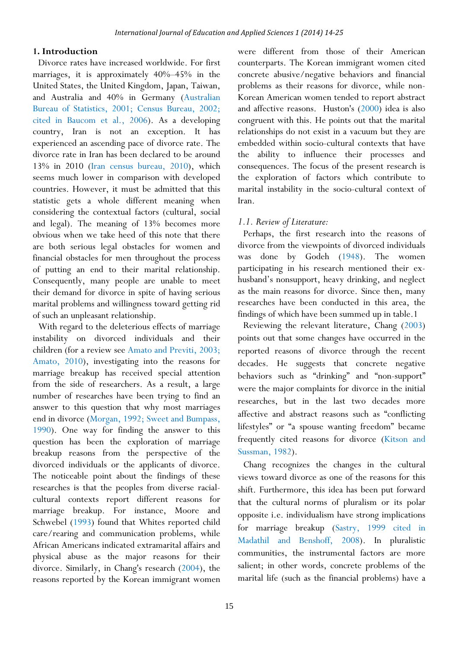#### **1. Introduction**

Divorce rates have increased worldwide. For first marriages, it is approximately 40%–45% in the United States, the United Kingdom, Japan, Taiwan, and Australia and 40% in Germany (Australian Bureau of Statistics, 2001; Census Bureau, 2002; cited in Baucom et al., 2006). As a developing country, Iran is not an exception. It has experienced an ascending pace of divorce rate. The divorce rate in Iran has been declared to be around 13% in 2010 (Iran census bureau, 2010), which seems much lower in comparison with developed countries. However, it must be admitted that this statistic gets a whole different meaning when considering the contextual factors (cultural, social and legal). The meaning of 13% becomes more obvious when we take heed of this note that there are both serious legal obstacles for women and financial obstacles for men throughout the process of putting an end to their marital relationship. Consequently, many people are unable to meet their demand for divorce in spite of having serious marital problems and willingness toward getting rid of such an unpleasant relationship.

With regard to the deleterious effects of marriage instability on divorced individuals and their children (for a review see Amato and Previti, 2003; Amato, 2010), investigating into the reasons for marriage breakup has received special attention from the side of researchers. As a result, a large number of researches have been trying to find an answer to this question that why most marriages end in divorce (Morgan, 1992; Sweet and Bumpass, 1990). One way for finding the answer to this question has been the exploration of marriage breakup reasons from the perspective of the divorced individuals or the applicants of divorce. The noticeable point about the findings of these researches is that the peoples from diverse racialcultural contexts report different reasons for marriage breakup. For instance, Moore and Schwebel (1993) found that Whites reported child care/rearing and communication problems, while African Americans indicated extramarital affairs and physical abuse as the major reasons for their divorce. Similarly, in Chang's research (2004), the reasons reported by the Korean immigrant women

were different from those of their American counterparts. The Korean immigrant women cited concrete abusive/negative behaviors and financial problems as their reasons for divorce, while non-Korean American women tended to report abstract and affective reasons. Huston's (2000) idea is also congruent with this. He points out that the marital relationships do not exist in a vacuum but they are embedded within socio-cultural contexts that have the ability to influence their processes and consequences. The focus of the present research is the exploration of factors which contribute to marital instability in the socio-cultural context of Iran.

#### *1.1. Review of Literature:*

Perhaps, the first research into the reasons of divorce from the viewpoints of divorced individuals was done by Godeh (1948). The women participating in his research mentioned their exhusband's nonsupport, heavy drinking, and neglect as the main reasons for divorce. Since then, many researches have been conducted in this area, the findings of which have been summed up in table.1

Reviewing the relevant literature, Chang (2003) points out that some changes have occurred in the reported reasons of divorce through the recent decades. He suggests that concrete negative behaviors such as "drinking" and "non-support" were the major complaints for divorce in the initial researches, but in the last two decades more affective and abstract reasons such as "conflicting lifestyles" or "a spouse wanting freedom" became frequently cited reasons for divorce (Kitson and Sussman, 1982).

Chang recognizes the changes in the cultural views toward divorce as one of the reasons for this shift. Furthermore, this idea has been put forward that the cultural norms of pluralism or its polar opposite i.e. individualism have strong implications for marriage breakup (Sastry, 1999 cited in Madathil and Benshoff, 2008). In pluralistic communities, the instrumental factors are more salient; in other words, concrete problems of the marital life (such as the financial problems) have a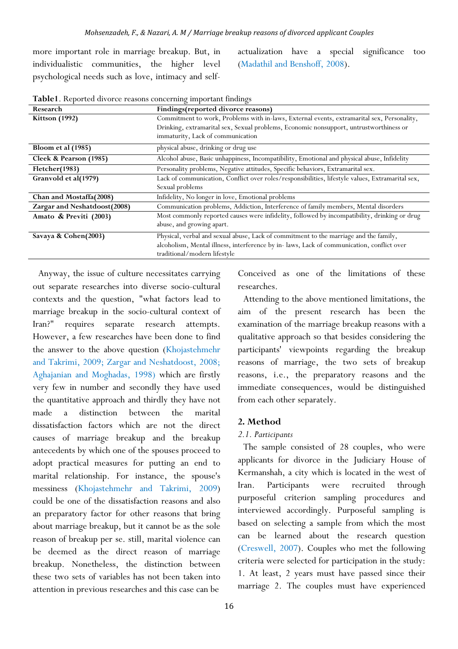more important role in marriage breakup. But, in individualistic communities, the higher level psychological needs such as love, intimacy and selfactualization have a special significance too (Madathil and Benshoff, 2008).

| Research                     | Findings(reported divorce reasons)                                                               |
|------------------------------|--------------------------------------------------------------------------------------------------|
| <b>Kittson</b> (1992)        | Commitment to work, Problems with in-laws, External events, extramarital sex, Personality,       |
|                              | Drinking, extramarital sex, Sexual problems, Economic nonsupport, untrustworthiness or           |
|                              | immaturity, Lack of communication                                                                |
| Bloom et al (1985)           | physical abuse, drinking or drug use                                                             |
| Cleek & Pearson (1985)       | Alcohol abuse, Basic unhappiness, Incompatibility, Emotional and physical abuse, Infidelity      |
| Fletcher(1983)               | Personality problems, Negative attitudes, Specific behaviors, Extramarital sex.                  |
| Granvold et al(1979)         | Lack of communication, Conflict over roles/responsibilities, lifestyle values, Extramarital sex, |
|                              | Sexual problems                                                                                  |
| Chan and Mostaffa(2008)      | Infidelity, No longer in love, Emotional problems                                                |
| Zargar and Neshatdoost(2008) | Communication problems, Addiction, Interference of family members, Mental disorders              |
| Amato & Previti (2003)       | Most commonly reported causes were infidelity, followed by incompatibility, drinking or drug     |
|                              | abuse, and growing apart.                                                                        |
| Savaya & Cohen(2003)         | Physical, verbal and sexual abuse, Lack of commitment to the marriage and the family,            |
|                              | alcoholism, Mental illness, interference by in- laws, Lack of communication, conflict over       |
|                              | traditional/modern lifestyle                                                                     |

**Table1**. Reported divorce reasons concerning important findings

Anyway, the issue of culture necessitates carrying out separate researches into diverse socio-cultural contexts and the question, "what factors lead to marriage breakup in the socio-cultural context of Iran?" requires separate research attempts. However, a few researches have been done to find the answer to the above question (Khojastehmehr and Takrimi, 2009; Zargar and Neshatdoost, 2008; Aghajanian and Moghadas, 1998) which are firstly very few in number and secondly they have used the quantitative approach and thirdly they have not made a distinction between the marital dissatisfaction factors which are not the direct causes of marriage breakup and the breakup antecedents by which one of the spouses proceed to adopt practical measures for putting an end to marital relationship. For instance, the spouse's messiness (Khojastehmehr and Takrimi, 2009) could be one of the dissatisfaction reasons and also an preparatory factor for other reasons that bring about marriage breakup, but it cannot be as the sole reason of breakup per se. still, marital violence can be deemed as the direct reason of marriage breakup. Nonetheless, the distinction between these two sets of variables has not been taken into attention in previous researches and this case can be

Conceived as one of the limitations of these researches.

Attending to the above mentioned limitations, the aim of the present research has been the examination of the marriage breakup reasons with a qualitative approach so that besides considering the participants' viewpoints regarding the breakup reasons of marriage, the two sets of breakup reasons, i.e., the preparatory reasons and the immediate consequences, would be distinguished from each other separately.

#### **2. Method**

#### *2.1. Participants*

The sample consisted of 28 couples, who were applicants for divorce in the Judiciary House of Kermanshah, a city which is located in the west of Iran. Participants were recruited through purposeful criterion sampling procedures and interviewed accordingly. Purposeful sampling is based on selecting a sample from which the most can be learned about the research question (Creswell, 2007). Couples who met the following criteria were selected for participation in the study: 1. At least, 2 years must have passed since their marriage 2. The couples must have experienced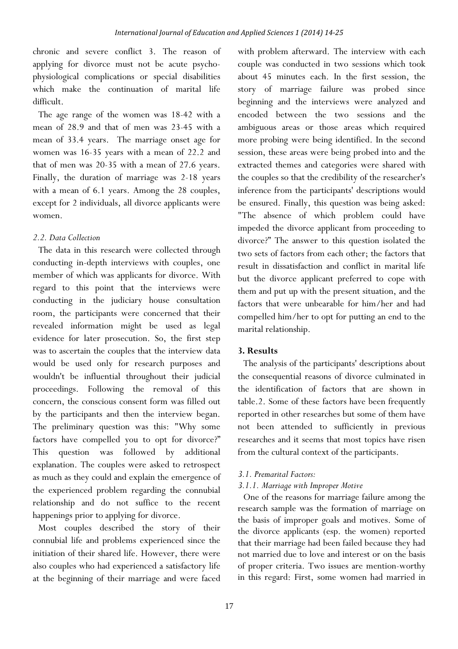chronic and severe conflict 3. The reason of applying for divorce must not be acute psychophysiological complications or special disabilities which make the continuation of marital life difficult.

The age range of the women was 18-42 with a mean of 28.9 and that of men was 23-45 with a mean of 33.4 years. The marriage onset age for women was 16-35 years with a mean of 22.2 and that of men was 20-35 with a mean of 27.6 years. Finally, the duration of marriage was 2-18 years with a mean of 6.1 years. Among the 28 couples, except for 2 individuals, all divorce applicants were women.

#### *2.2. Data Collection*

The data in this research were collected through conducting in-depth interviews with couples, one member of which was applicants for divorce. With regard to this point that the interviews were conducting in the judiciary house consultation room, the participants were concerned that their revealed information might be used as legal evidence for later prosecution. So, the first step was to ascertain the couples that the interview data would be used only for research purposes and wouldn't be influential throughout their judicial proceedings. Following the removal of this concern, the conscious consent form was filled out by the participants and then the interview began. The preliminary question was this: "Why some factors have compelled you to opt for divorce?" This question was followed by additional explanation. The couples were asked to retrospect as much as they could and explain the emergence of the experienced problem regarding the connubial relationship and do not suffice to the recent happenings prior to applying for divorce.

Most couples described the story of their connubial life and problems experienced since the initiation of their shared life. However, there were also couples who had experienced a satisfactory life at the beginning of their marriage and were faced

with problem afterward. The interview with each couple was conducted in two sessions which took about 45 minutes each. In the first session, the story of marriage failure was probed since beginning and the interviews were analyzed and encoded between the two sessions and the ambiguous areas or those areas which required more probing were being identified. In the second session, these areas were being probed into and the extracted themes and categories were shared with the couples so that the credibility of the researcher's inference from the participants' descriptions would be ensured. Finally, this question was being asked: "The absence of which problem could have impeded the divorce applicant from proceeding to divorce?" The answer to this question isolated the two sets of factors from each other; the factors that result in dissatisfaction and conflict in marital life but the divorce applicant preferred to cope with them and put up with the present situation, and the factors that were unbearable for him/her and had compelled him/her to opt for putting an end to the marital relationship.

# **3. Results**

The analysis of the participants' descriptions about the consequential reasons of divorce culminated in the identification of factors that are shown in table.2. Some of these factors have been frequently reported in other researches but some of them have not been attended to sufficiently in previous researches and it seems that most topics have risen from the cultural context of the participants.

#### *3.1. Premarital Factors:*

# *3.1.1. Marriage with Improper Motive*

One of the reasons for marriage failure among the research sample was the formation of marriage on the basis of improper goals and motives. Some of the divorce applicants (esp. the women) reported that their marriage had been failed because they had not married due to love and interest or on the basis of proper criteria. Two issues are mention-worthy in this regard: First, some women had married in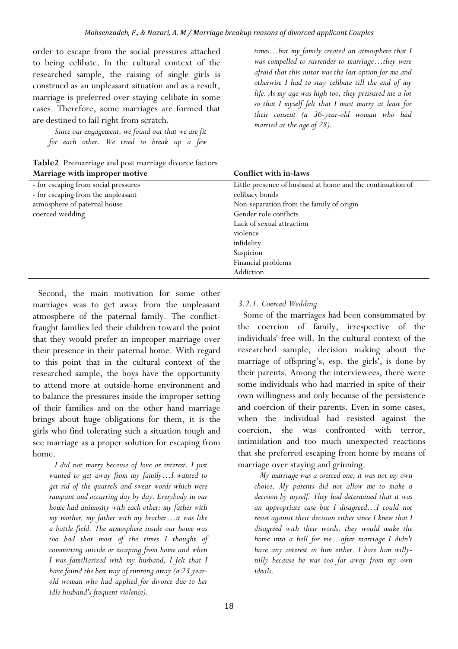order to escape from the social pressures attached to being celibate. In the cultural context of the researched sample, the raising of single girls is construed as an unpleasant situation and as a result, marriage is preferred over staying celibate in some cases. Therefore, some marriages are formed that are destined to fail right from scratch.

*Since our engagement, we found out that we are fit for each other. We tried to break up a few* 

**Table2**. Premarriage and post marriage divorce factors

*times…but my family created an atmosphere that I was compelled to surrender to marriage…they were afraid that this suitor was the last option for me and otherwise I had to stay celibate till the end of my life. As my age was high too, they pressured me a lot so that I myself felt that I must marry at least for their consent (a 36-year-old woman who had married at the age of 28).* 

| Marriage with improper motive        | Conflict with in-laws                                      |
|--------------------------------------|------------------------------------------------------------|
| - for escaping from social pressures | Little presence of husband at home and the continuation of |
| - for escaping from the unpleasant   | celibacy bonds                                             |
| atmosphere of paternal house         | Non-separation from the family of origin                   |
| coerced wedding                      | Gender role conflicts                                      |
|                                      | Lack of sexual attraction                                  |
|                                      | violence                                                   |
|                                      | infidelity                                                 |
|                                      | Suspicion                                                  |
|                                      | Financial problems                                         |
|                                      | Addiction                                                  |

Second, the main motivation for some other marriages was to get away from the unpleasant atmosphere of the paternal family. The conflictfraught families led their children toward the point that they would prefer an improper marriage over their presence in their paternal home. With regard to this point that in the cultural context of the researched sample, the boys have the opportunity to attend more at outside-home environment and to balance the pressures inside the improper setting of their families and on the other hand marriage brings about huge obligations for them, it is the girls who find tolerating such a situation tough and see marriage as a proper solution for escaping from home.

*I did not marry because of love or interest. I just wanted to get away from my family…I wanted to get rid of the quarrels and swear words which were rampant and occurring day by day. Everybody in our home had animosity with each other; my father with my mother, my father with my brother…it was like a battle field. The atmosphere inside our home was too bad that most of the times I thought of committing suicide or escaping from home and when I was familiarized with my husband, I felt that I have found the best way of running away (a 23 yearold woman who had applied for divorce due to her idle husband's frequent violence).* 

# *3.2.1. Coerced Wedding*

Some of the marriages had been consummated by the coercion of family, irrespective of the individuals' free will. In the cultural context of the researched sample, decision making about the marriage of offspring's, esp. the girls', is done by their parents. Among the interviewees, there were some individuals who had married in spite of their own willingness and only because of the persistence and coercion of their parents. Even in some cases, when the individual had resisted against the coercion, she was confronted with terror, intimidation and too much unexpected reactions that she preferred escaping from home by means of marriage over staying and grinning.

*My marriage was a coerced one; it was not my own choice*. *My parents did not allow me to make a decision by myself. They had determined that it was an appropriate case but I disagreed…I could not resist against their decision either since I knew that I disagreed with their words, they would make the home into a hell for me…after marriage I didn't have any interest in him either. I bore him willynilly because he was too far away from my own ideals.*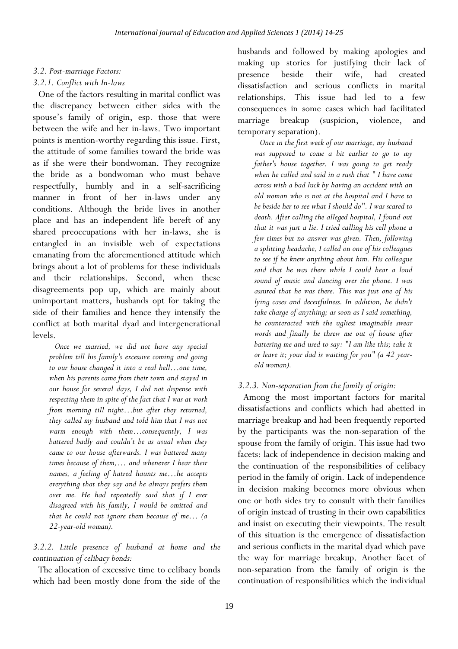## *3.2. Post-marriage Factors:*

#### *3.2.1. Conflict with In-laws*

One of the factors resulting in marital conflict was the discrepancy between either sides with the spouse's family of origin, esp. those that were between the wife and her in-laws. Two important points is mention-worthy regarding this issue. First, the attitude of some families toward the bride was as if she were their bondwoman. They recognize the bride as a bondwoman who must behave respectfully, humbly and in a self-sacrificing manner in front of her in-laws under any conditions. Although the bride lives in another place and has an independent life bereft of any shared preoccupations with her in-laws, she is entangled in an invisible web of expectations emanating from the aforementioned attitude which brings about a lot of problems for these individuals and their relationships. Second, when these disagreements pop up, which are mainly about unimportant matters, husbands opt for taking the side of their families and hence they intensify the conflict at both marital dyad and intergenerational levels.

*Once we married, we did not have any special problem till his family's excessive coming and going to our house changed it into a real hell…one time, when his parents came from their town and stayed in our house for several days, I did not dispense with respecting them in spite of the fact that I was at work from morning till night…but after they returned, they called my husband and told him that I was not warm enough with them…consequently, I was battered badly and couldn't be as usual when they came to our house afterwards. I was battered many times because of them,… and whenever I hear their names, a feeling of hatred haunts me…he accepts everything that they say and he always prefers them over me. He had repeatedly said that if I ever disagreed with his family, I would be omitted and that he could not ignore them because of me… (a 22-year-old woman).* 

*3.2.2. Little presence of husband at home and the continuation of celibacy bonds:* 

The allocation of excessive time to celibacy bonds which had been mostly done from the side of the

husbands and followed by making apologies and making up stories for justifying their lack of presence beside their wife, had created dissatisfaction and serious conflicts in marital relationships. This issue had led to a few consequences in some cases which had facilitated marriage breakup (suspicion, violence, and temporary separation).

*Once in the first week of our marriage, my husband was supposed to come a bit earlier to go to my father's house together. I was going to get ready when he called and said in a rush that " I have come across with a bad luck by having an accident with an old woman who is not at the hospital and I have to be beside her to see what I should do". I was scared to death. After calling the alleged hospital, I found out that it was just a lie. I tried calling his cell phone a few times but no answer was given. Then, following a splitting headache, I called on one of his colleagues to see if he knew anything about him. His colleague said that he was there while I could hear a loud sound of music and dancing over the phone. I was assured that he was there. This was just one of his lying cases and deceitfulness. In addition, he didn't take charge of anything; as soon as I said something, he counteracted with the ugliest imaginable swear words and finally he threw me out of house after battering me and used to say: "I am like this; take it or leave it; your dad is waiting for you" (a 42 yearold woman).* 

#### *3.2.3. Non-separation from the family of origin:*

Among the most important factors for marital dissatisfactions and conflicts which had abetted in marriage breakup and had been frequently reported by the participants was the non-separation of the spouse from the family of origin. This issue had two facets: lack of independence in decision making and the continuation of the responsibilities of celibacy period in the family of origin. Lack of independence in decision making becomes more obvious when one or both sides try to consult with their families of origin instead of trusting in their own capabilities and insist on executing their viewpoints. The result of this situation is the emergence of dissatisfaction and serious conflicts in the marital dyad which pave the way for marriage breakup. Another facet of non-separation from the family of origin is the continuation of responsibilities which the individual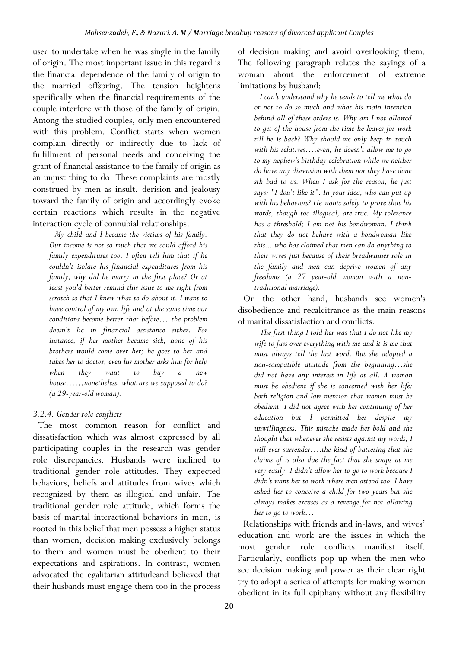used to undertake when he was single in the family of origin. The most important issue in this regard is the financial dependence of the family of origin to the married offspring. The tension heightens specifically when the financial requirements of the couple interfere with those of the family of origin. Among the studied couples, only men encountered with this problem. Conflict starts when women complain directly or indirectly due to lack of fulfillment of personal needs and conceiving the grant of financial assistance to the family of origin as an unjust thing to do. These complaints are mostly construed by men as insult, derision and jealousy toward the family of origin and accordingly evoke certain reactions which results in the negative interaction cycle of connubial relationships.

*My child and I became the victims of his family. Our income is not so much that we could afford his family expenditures too. I often tell him that if he couldn't isolate his financial expenditures from his family, why did he marry in the first place? Or at least you'd better remind this issue to me right from scratch so that I knew what to do about it. I want to have control of my own life and at the same time our conditions become better that before… the problem doesn't lie in financial assistance either. For instance, if her mother became sick, none of his brothers would come over her; he goes to her and takes her to doctor, even his mother asks him for help when they want to buy a new house……nonetheless, what are we supposed to do? (a 29-year-old woman).* 

# *3.2.4. Gender role conflicts*

The most common reason for conflict and dissatisfaction which was almost expressed by all participating couples in the research was gender role discrepancies. Husbands were inclined to traditional gender role attitudes. They expected behaviors, beliefs and attitudes from wives which recognized by them as illogical and unfair. The traditional gender role attitude, which forms the basis of marital interactional behaviors in men, is rooted in this belief that men possess a higher status than women, decision making exclusively belongs to them and women must be obedient to their expectations and aspirations. In contrast, women advocated the egalitarian attitudeand believed that their husbands must engage them too in the process

of decision making and avoid overlooking them. The following paragraph relates the sayings of a woman about the enforcement of extreme limitations by husband:

*I can't understand why he tends to tell me what do or not to do so much and what his main intention behind all of these orders is. Why am I not allowed to get of the house from the time he leaves for work till he is back? Why should we only keep in touch with his relatives….even, he doesn't allow me to go to my nephew's birthday celebration while we neither do have any dissension with them nor they have done sth bad to us. When I ask for the reason, he just says: "I don't like it". In your idea, who can put up with his behaviors? He wants solely to prove that his words, though too illogical, are true. My tolerance has a threshold; I am not his bondwoman. I think that they do not behave with a bondwoman like this... who has claimed that men can do anything to their wives just because of their breadwinner role in the family and men can deprive women of any freedoms (a 27 year-old woman with a nontraditional marriage).* 

On the other hand, husbands see women's disobedience and recalcitrance as the main reasons of marital dissatisfaction and conflicts.

*The first thing I told her was that I do not like my wife to fuss over everything with me and it is me that must always tell the last word. But she adopted a non-compatible attitude from the beginning…she did not have any interest in life at all. A woman must be obedient if she is concerned with her life; both religion and law mention that women must be obedient. I did not agree with her continuing of her education but I permitted her despite my unwillingness. This mistake made her bold and she thought that whenever she resists against my words, I will ever surrender….the kind of battering that she claims of is also due the fact that she snaps at me very easily. I didn't allow her to go to work because I didn't want her to work where men attend too. I have asked her to conceive a child for two years but she always makes excuses as a revenge for not allowing her to go to work…* 

Relationships with friends and in-laws, and wives' education and work are the issues in which the most gender role conflicts manifest itself. Particularly, conflicts pop up when the men who see decision making and power as their clear right try to adopt a series of attempts for making women obedient in its full epiphany without any flexibility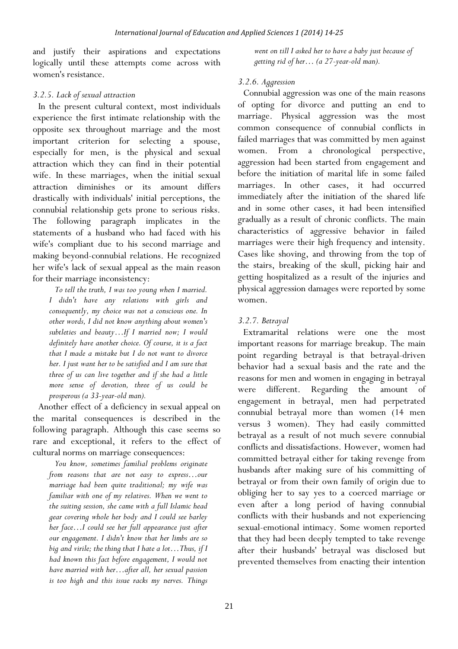and justify their aspirations and expectations logically until these attempts come across with women's resistance.

# *3.2.5. Lack of sexual attraction*

In the present cultural context, most individuals experience the first intimate relationship with the opposite sex throughout marriage and the most important criterion for selecting a spouse, especially for men, is the physical and sexual attraction which they can find in their potential wife. In these marriages, when the initial sexual attraction diminishes or its amount differs drastically with individuals' initial perceptions, the connubial relationship gets prone to serious risks. The following paragraph implicates in the statements of a husband who had faced with his wife's compliant due to his second marriage and making beyond-connubial relations. He recognized her wife's lack of sexual appeal as the main reason for their marriage inconsistency:

*To tell the truth, I was too young when I married. I didn't have any relations with girls and consequently, my choice was not a conscious one. In other words, I did not know anything about women's subtleties and beauty…If I married now; I would definitely have another choice. Of course, it is a fact that I made a mistake but I do not want to divorce her. I just want her to be satisfied and I am sure that three of us can live together and if she had a little more sense of devotion, three of us could be prosperous (a 33-year-old man).* 

Another effect of a deficiency in sexual appeal on the marital consequences is described in the following paragraph. Although this case seems so rare and exceptional, it refers to the effect of cultural norms on marriage consequences:

*You know, sometimes familial problems originate from reasons that are not easy to express…our marriage had been quite traditional; my wife was familiar with one of my relatives. When we went to the suiting session, she came with a full Islamic head gear covering whole her body and I could see barley her face…I could see her full appearance just after our engagement. I didn't know that her limbs are so big and virile; the thing that I hate a lot…Thus, if I had known this fact before engagement, I would not have married with her…after all, her sexual passion is too high and this issue racks my nerves. Things* 

*went on till I asked her to have a baby just because of getting rid of her… (a 27-year-old man).* 

# *3.2.6. Aggression*

Connubial aggression was one of the main reasons of opting for divorce and putting an end to marriage. Physical aggression was the most common consequence of connubial conflicts in failed marriages that was committed by men against women. From a chronological perspective, aggression had been started from engagement and before the initiation of marital life in some failed marriages. In other cases, it had occurred immediately after the initiation of the shared life and in some other cases, it had been intensified gradually as a result of chronic conflicts. The main characteristics of aggressive behavior in failed marriages were their high frequency and intensity. Cases like shoving, and throwing from the top of the stairs, breaking of the skull, picking hair and getting hospitalized as a result of the injuries and physical aggression damages were reported by some women.

# *3.2.7. Betrayal*

Extramarital relations were one the most important reasons for marriage breakup. The main point regarding betrayal is that betrayal-driven behavior had a sexual basis and the rate and the reasons for men and women in engaging in betrayal were different. Regarding the amount of engagement in betrayal, men had perpetrated connubial betrayal more than women (14 men versus 3 women). They had easily committed betrayal as a result of not much severe connubial conflicts and dissatisfactions. However, women had committed betrayal either for taking revenge from husbands after making sure of his committing of betrayal or from their own family of origin due to obliging her to say yes to a coerced marriage or even after a long period of having connubial conflicts with their husbands and not experiencing sexual-emotional intimacy. Some women reported that they had been deeply tempted to take revenge after their husbands' betrayal was disclosed but prevented themselves from enacting their intention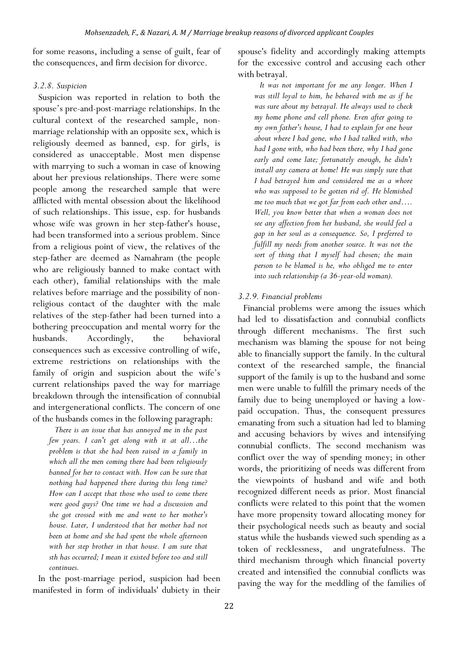for some reasons, including a sense of guilt, fear of the consequences, and firm decision for divorce.

## *3.2.8. Suspicion*

Suspicion was reported in relation to both the spouse's pre-and-post-marriage relationships. In the cultural context of the researched sample, nonmarriage relationship with an opposite sex, which is religiously deemed as banned, esp. for girls, is considered as unacceptable. Most men dispense with marrying to such a woman in case of knowing about her previous relationships. There were some people among the researched sample that were afflicted with mental obsession about the likelihood of such relationships. This issue, esp. for husbands whose wife was grown in her step-father's house, had been transformed into a serious problem. Since from a religious point of view, the relatives of the step-father are deemed as Namahram (the people who are religiously banned to make contact with each other), familial relationships with the male relatives before marriage and the possibility of nonreligious contact of the daughter with the male relatives of the step-father had been turned into a bothering preoccupation and mental worry for the husbands. Accordingly, the behavioral consequences such as excessive controlling of wife, extreme restrictions on relationships with the family of origin and suspicion about the wife's current relationships paved the way for marriage breakdown through the intensification of connubial and intergenerational conflicts. The concern of one of the husbands comes in the following paragraph:

*There is an issue that has annoyed me in the past few years. I can't get along with it at all…the problem is that she had been raised in a family in which all the men coming there had been religiously banned for her to contact with. How can be sure that nothing had happened there during this long time? How can I accept that those who used to come there were good guys? One time we had a discussion and she got crossed with me and went to her mother's house. Later, I understood that her mother had not been at home and she had spent the whole afternoon with her step brother in that house. I am sure that sth has occurred; I mean it existed before too and still continues.* 

In the post-marriage period, suspicion had been manifested in form of individuals' dubiety in their spouse's fidelity and accordingly making attempts for the excessive control and accusing each other with betrayal.

*It was not important for me any longer. When I was still loyal to him, he behaved with me as if he was sure about my betrayal. He always used to check my home phone and cell phone. Even after going to my own father's house, I had to explain for one hour about where I had gone, who I had talked with, who had I gone with, who had been there, why I had gone early and come late; fortunately enough, he didn't install any camera at home! He was simply sure that I had betrayed him and considered me as a whore who was supposed to be gotten rid of. He blemished me too much that we got far from each other and…. Well, you know better that when a woman does not see any affection from her husband, she would feel a gap in her soul as a consequence. So, I preferred to fulfill my needs from another source. It was not the sort of thing that I myself had chosen; the main person to be blamed is he, who obliged me to enter into such relationship (a 36-year-old woman).* 

# *3.2.9. Financial problems*

Financial problems were among the issues which had led to dissatisfaction and connubial conflicts through different mechanisms. The first such mechanism was blaming the spouse for not being able to financially support the family. In the cultural context of the researched sample, the financial support of the family is up to the husband and some men were unable to fulfill the primary needs of the family due to being unemployed or having a lowpaid occupation. Thus, the consequent pressures emanating from such a situation had led to blaming and accusing behaviors by wives and intensifying connubial conflicts. The second mechanism was conflict over the way of spending money; in other words, the prioritizing of needs was different from the viewpoints of husband and wife and both recognized different needs as prior. Most financial conflicts were related to this point that the women have more propensity toward allocating money for their psychological needs such as beauty and social status while the husbands viewed such spending as a token of recklessness, and ungratefulness. The third mechanism through which financial poverty created and intensified the connubial conflicts was paving the way for the meddling of the families of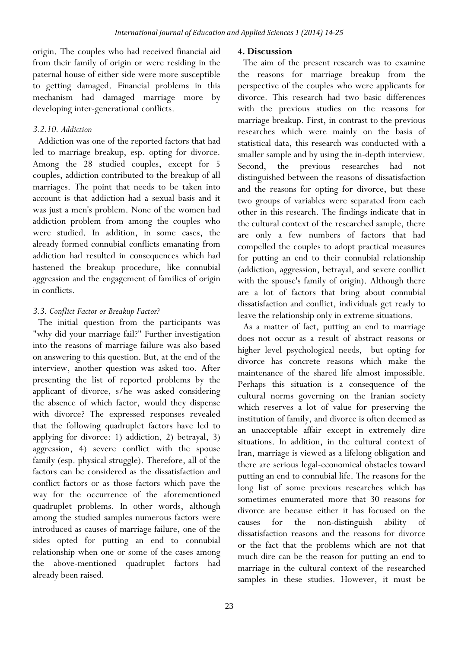origin. The couples who had received financial aid from their family of origin or were residing in the paternal house of either side were more susceptible to getting damaged. Financial problems in this mechanism had damaged marriage more by developing inter-generational conflicts.

# *3.2.10. Addiction*

Addiction was one of the reported factors that had led to marriage breakup, esp. opting for divorce. Among the 28 studied couples, except for 5 couples, addiction contributed to the breakup of all marriages. The point that needs to be taken into account is that addiction had a sexual basis and it was just a men's problem. None of the women had addiction problem from among the couples who were studied. In addition, in some cases, the already formed connubial conflicts emanating from addiction had resulted in consequences which had hastened the breakup procedure, like connubial aggression and the engagement of families of origin in conflicts.

# *3.3. Conflict Factor or Breakup Factor?*

The initial question from the participants was "why did your marriage fail?" Further investigation into the reasons of marriage failure was also based on answering to this question. But, at the end of the interview, another question was asked too. After presenting the list of reported problems by the applicant of divorce, s/he was asked considering the absence of which factor, would they dispense with divorce? The expressed responses revealed that the following quadruplet factors have led to applying for divorce: 1) addiction, 2) betrayal, 3) aggression, 4) severe conflict with the spouse family (esp. physical struggle). Therefore, all of the factors can be considered as the dissatisfaction and conflict factors or as those factors which pave the way for the occurrence of the aforementioned quadruplet problems. In other words, although among the studied samples numerous factors were introduced as causes of marriage failure, one of the sides opted for putting an end to connubial relationship when one or some of the cases among the above-mentioned quadruplet factors had already been raised.

# **4. Discussion**

The aim of the present research was to examine the reasons for marriage breakup from the perspective of the couples who were applicants for divorce. This research had two basic differences with the previous studies on the reasons for marriage breakup. First, in contrast to the previous researches which were mainly on the basis of statistical data, this research was conducted with a smaller sample and by using the in-depth interview. Second, the previous researches had not distinguished between the reasons of dissatisfaction and the reasons for opting for divorce, but these two groups of variables were separated from each other in this research. The findings indicate that in the cultural context of the researched sample, there are only a few numbers of factors that had compelled the couples to adopt practical measures for putting an end to their connubial relationship (addiction, aggression, betrayal, and severe conflict with the spouse's family of origin). Although there are a lot of factors that bring about connubial dissatisfaction and conflict, individuals get ready to leave the relationship only in extreme situations.

As a matter of fact, putting an end to marriage does not occur as a result of abstract reasons or higher level psychological needs, but opting for divorce has concrete reasons which make the maintenance of the shared life almost impossible. Perhaps this situation is a consequence of the cultural norms governing on the Iranian society which reserves a lot of value for preserving the institution of family, and divorce is often deemed as an unacceptable affair except in extremely dire situations. In addition, in the cultural context of Iran, marriage is viewed as a lifelong obligation and there are serious legal-economical obstacles toward putting an end to connubial life. The reasons for the long list of some previous researches which has sometimes enumerated more that 30 reasons for divorce are because either it has focused on the causes for the non-distinguish ability of dissatisfaction reasons and the reasons for divorce or the fact that the problems which are not that much dire can be the reason for putting an end to marriage in the cultural context of the researched samples in these studies. However, it must be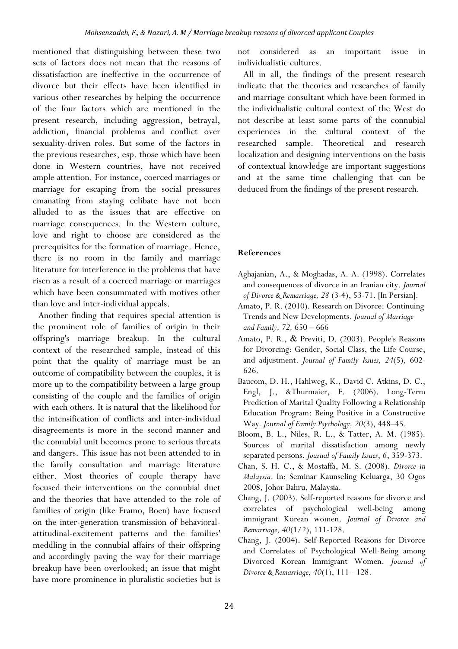mentioned that distinguishing between these two sets of factors does not mean that the reasons of dissatisfaction are ineffective in the occurrence of divorce but their effects have been identified in various other researches by helping the occurrence of the four factors which are mentioned in the present research, including aggression, betrayal, addiction, financial problems and conflict over sexuality-driven roles. But some of the factors in the previous researches, esp. those which have been done in Western countries, have not received ample attention. For instance, coerced marriages or marriage for escaping from the social pressures emanating from staying celibate have not been alluded to as the issues that are effective on marriage consequences. In the Western culture, love and right to choose are considered as the prerequisites for the formation of marriage. Hence, there is no room in the family and marriage literature for interference in the problems that have risen as a result of a coerced marriage or marriages which have been consummated with motives other than love and inter-individual appeals.

Another finding that requires special attention is the prominent role of families of origin in their offspring's marriage breakup. In the cultural context of the researched sample, instead of this point that the quality of marriage must be an outcome of compatibility between the couples, it is more up to the compatibility between a large group consisting of the couple and the families of origin with each others. It is natural that the likelihood for the intensification of conflicts and inter-individual disagreements is more in the second manner and the connubial unit becomes prone to serious threats and dangers. This issue has not been attended to in the family consultation and marriage literature either. Most theories of couple therapy have focused their interventions on the connubial duet and the theories that have attended to the role of families of origin (like Framo, Boen) have focused on the inter-generation transmission of behavioralattitudinal-excitement patterns and the families' meddling in the connubial affairs of their offspring and accordingly paving the way for their marriage breakup have been overlooked; an issue that might have more prominence in pluralistic societies but is

not considered as an important issue in individualistic cultures.

All in all, the findings of the present research indicate that the theories and researches of family and marriage consultant which have been formed in the individualistic cultural context of the West do not describe at least some parts of the connubial experiences in the cultural context of the researched sample. Theoretical and research localization and designing interventions on the basis of contextual knowledge are important suggestions and at the same time challenging that can be deduced from the findings of the present research.

# **References**

- Aghajanian, A., & Moghadas, A. A. (1998). Correlates and consequences of divorce in an Iranian city. *Journal of Divorce & Remarriage, 28* (3-4), 53-71. [In Persian].
- Amato, P. R. (2010). Research on Divorce: Continuing Trends and New Developments. *Journal of Marriage and Family, 72,* 650 – 666
- Amato, P. R., & Previti, D. (2003). People's Reasons for Divorcing: Gender, Social Class, the Life Course, and adjustment. *Journal of Family Issues, 24*(5), 602- 626.
- Baucom, D. H., Hahlweg, K., David C. Atkins, D. C., Engl, J., &Thurmaier, F. (2006). Long-Term Prediction of Marital Quality Following a Relationship Education Program: Being Positive in a Constructive Way*. Journal of Family Psychology, 20*(3), 448–45.
- Bloom, B. L., Niles, R. L., & Tatter, A. M. (1985). Sources of marital dissatisfaction among newly separated persons. *Journal of Family Issues*, *6*, 359-373.
- Chan, S. H. C., & Mostaffa, M. S. (2008). *Divorce in Malaysia*. In: Seminar Kaunseling Keluarga, 30 Ogos 2008, Johor Bahru, Malaysia.
- Chang, J. (2003). Self-reported reasons for divorce and correlates of psychological well-being among immigrant Korean women. *Journal of Divorce and Remarriage, 40*(1/2), 111-128.
- Chang, J. (2004). Self-Reported Reasons for Divorce and Correlates of Psychological Well-Being among Divorced Korean Immigrant Women. *Journal of Divorce & Remarriage, 40*(1), 111 - 128.